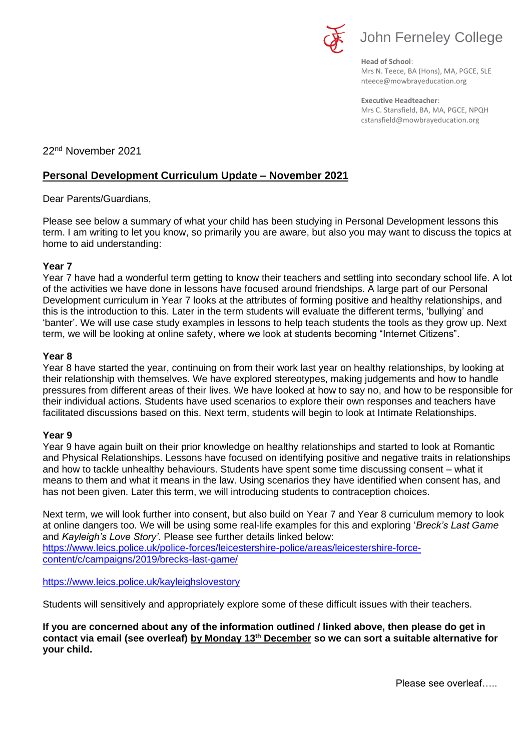

**Head of School**: Mrs N. Teece, BA (Hons), MA, PGCE, SLE nteece@mowbrayeducation.org

**Executive Headteacher**: Mrs C. Stansfield, BA, MA, PGCE, NPQH cstansfield@mowbrayeducation.org

22nd November 2021

# **Personal Development Curriculum Update – November 2021**

Dear Parents/Guardians,

Please see below a summary of what your child has been studying in Personal Development lessons this term. I am writing to let you know, so primarily you are aware, but also you may want to discuss the topics at home to aid understanding:

## **Year 7**

Year 7 have had a wonderful term getting to know their teachers and settling into secondary school life. A lot of the activities we have done in lessons have focused around friendships. A large part of our Personal Development curriculum in Year 7 looks at the attributes of forming positive and healthy relationships, and this is the introduction to this. Later in the term students will evaluate the different terms, 'bullying' and 'banter'. We will use case study examples in lessons to help teach students the tools as they grow up. Next term, we will be looking at online safety, where we look at students becoming "Internet Citizens".

## **Year 8**

Year 8 have started the year, continuing on from their work last year on healthy relationships, by looking at their relationship with themselves. We have explored stereotypes, making judgements and how to handle pressures from different areas of their lives. We have looked at how to say no, and how to be responsible for their individual actions. Students have used scenarios to explore their own responses and teachers have facilitated discussions based on this. Next term, students will begin to look at Intimate Relationships.

#### **Year 9**

Year 9 have again built on their prior knowledge on healthy relationships and started to look at Romantic and Physical Relationships. Lessons have focused on identifying positive and negative traits in relationships and how to tackle unhealthy behaviours. Students have spent some time discussing consent – what it means to them and what it means in the law. Using scenarios they have identified when consent has, and has not been given. Later this term, we will introducing students to contraception choices.

Next term, we will look further into consent, but also build on Year 7 and Year 8 curriculum memory to look at online dangers too. We will be using some real-life examples for this and exploring '*Breck's Last Game* and *Kayleigh's Love Story'.* Please see further details linked below: [https://www.leics.police.uk/police-forces/leicestershire-police/areas/leicestershire-force](https://www.leics.police.uk/police-forces/leicestershire-police/areas/leicestershire-force-content/c/campaigns/2019/brecks-last-game/)[content/c/campaigns/2019/brecks-last-game/](https://www.leics.police.uk/police-forces/leicestershire-police/areas/leicestershire-force-content/c/campaigns/2019/brecks-last-game/)

<https://www.leics.police.uk/kayleighslovestory>

Students will sensitively and appropriately explore some of these difficult issues with their teachers.

**If you are concerned about any of the information outlined / linked above, then please do get in contact via email (see overleaf) by Monday 13th December so we can sort a suitable alternative for your child.**